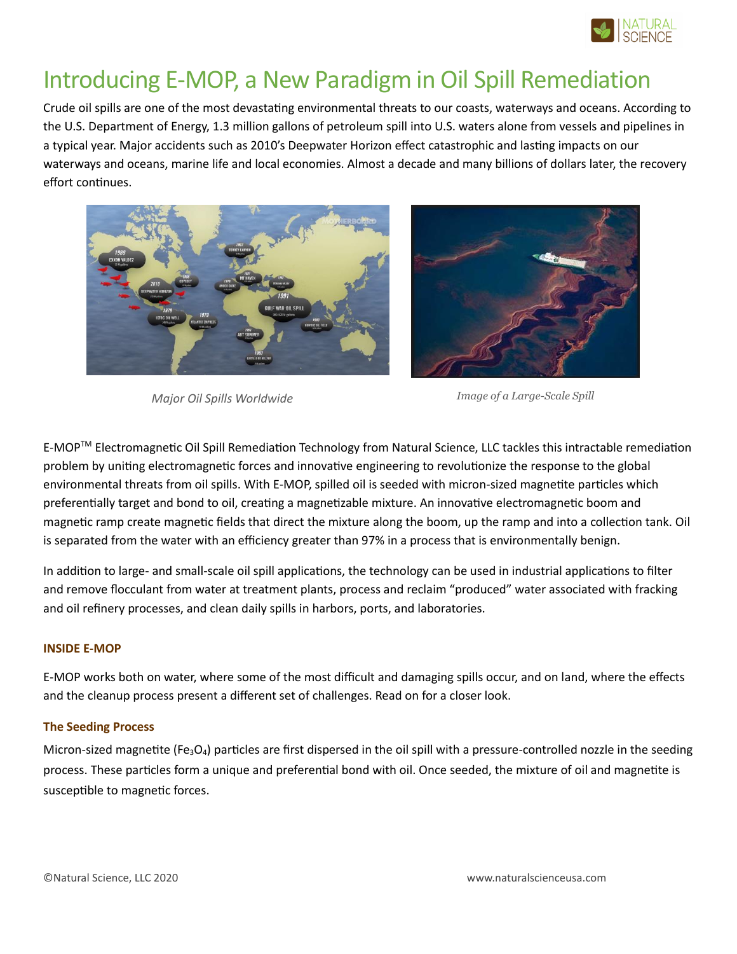

# Introducing E-MOP, a New Paradigm in Oil Spill Remediation

Crude oil spills are one of the most devastating environmental threats to our coasts, waterways and oceans. According to the U.S. Department of Energy, 1.3 million gallons of petroleum spill into U.S. waters alone from vessels and pipelines in a typical year. Major accidents such as 2010's Deepwater Horizon effect catastrophic and lasting impacts on our waterways and oceans, marine life and local economies. Almost a decade and many billions of dollars later, the recovery effort continues.



*Major Oil Spills Worldwide*

*Image of a Large-Scale Spill*

E-MOPTM Electromagnetic Oil Spill Remediation Technology from Natural Science, LLC tackles this intractable remediation problem by uniting electromagnetic forces and innovative engineering to revolutionize the response to the global environmental threats from oil spills. With E-MOP, spilled oil is seeded with micron-sized magnetite particles which preferentially target and bond to oil, creating a magnetizable mixture. An innovative electromagnetic boom and magnetic ramp create magnetic fields that direct the mixture along the boom, up the ramp and into a collection tank. Oil is separated from the water with an efficiency greater than 97% in a process that is environmentally benign.

In addition to large- and small-scale oil spill applications, the technology can be used in industrial applications to filter and remove flocculant from water at treatment plants, process and reclaim "produced" water associated with fracking and oil refinery processes, and clean daily spills in harbors, ports, and laboratories.

### **INSIDE E-MOP**

E-MOP works both on water, where some of the most difficult and damaging spills occur, and on land, where the effects and the cleanup process present a different set of challenges. Read on for a closer look.

### **The Seeding Process**

Micron-sized magnetite (Fe<sub>3</sub>O<sub>4</sub>) particles are first dispersed in the oil spill with a pressure-controlled nozzle in the seeding process. These particles form a unique and preferential bond with oil. Once seeded, the mixture of oil and magnetite is susceptible to magnetic forces.